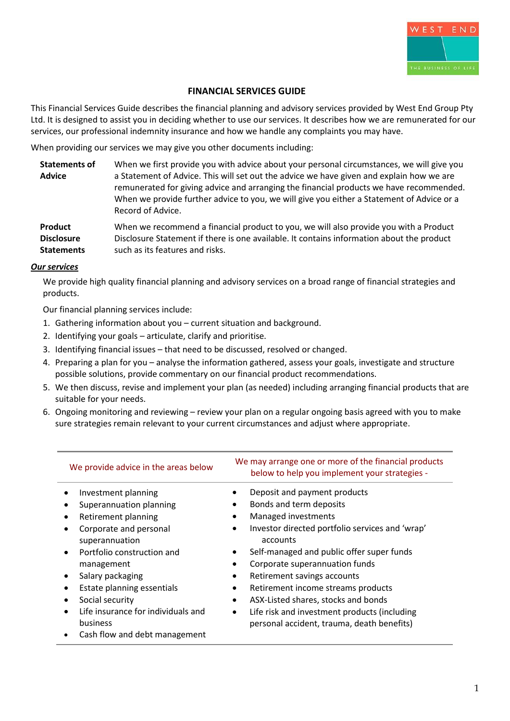

## **FINANCIAL SERVICES GUIDE**

This Financial Services Guide describes the financial planning and advisory services provided by West End Group Pty Ltd. It is designed to assist you in deciding whether to use our services. It describes how we are remunerated for our services, our professional indemnity insurance and how we handle any complaints you may have.

When providing our services we may give you other documents including:

| <b>Statements of</b> | When we first provide you with advice about your personal circumstances, we will give you |
|----------------------|-------------------------------------------------------------------------------------------|
| <b>Advice</b>        | a Statement of Advice. This will set out the advice we have given and explain how we are  |
|                      | remunerated for giving advice and arranging the financial products we have recommended.   |
|                      | When we provide further advice to you, we will give you either a Statement of Advice or a |
|                      | Record of Advice.                                                                         |

**Product Disclosure Statements** When we recommend a financial product to you, we will also provide you with a Product Disclosure Statement if there is one available. It contains information about the product such as its features and risks.

#### *Our services*

We provide high quality financial planning and advisory services on a broad range of financial strategies and products.

Our financial planning services include:

- 1. Gathering information about you current situation and background.
- 2. Identifying your goals articulate, clarify and prioritise.
- 3. Identifying financial issues that need to be discussed, resolved or changed.
- 4. Preparing a plan for you analyse the information gathered, assess your goals, investigate and structure possible solutions, provide commentary on our financial product recommendations.
- 5. We then discuss, revise and implement your plan (as needed) including arranging financial products that are suitable for your needs.
- 6. Ongoing monitoring and reviewing review your plan on a regular ongoing basis agreed with you to make sure strategies remain relevant to your current circumstances and adjust where appropriate.

| We provide advice in the areas below                                                         | We may arrange one or more of the financial products<br>below to help you implement your strategies -   |  |
|----------------------------------------------------------------------------------------------|---------------------------------------------------------------------------------------------------------|--|
| Investment planning                                                                          | Deposit and payment products                                                                            |  |
| Superannuation planning                                                                      | Bonds and term deposits                                                                                 |  |
| Retirement planning                                                                          | Managed investments                                                                                     |  |
| Corporate and personal<br>superannuation                                                     | Investor directed portfolio services and 'wrap'<br>accounts                                             |  |
| Portfolio construction and<br>management                                                     | Self-managed and public offer super funds<br>Corporate superannuation funds                             |  |
| Salary packaging                                                                             | Retirement savings accounts                                                                             |  |
| Estate planning essentials                                                                   | Retirement income streams products<br>$\bullet$                                                         |  |
| Social security                                                                              | ASX-Listed shares, stocks and bonds<br>$\bullet$                                                        |  |
| Life insurance for individuals and<br>$\bullet$<br>business<br>Cash flow and debt management | Life risk and investment products (including<br>$\bullet$<br>personal accident, trauma, death benefits) |  |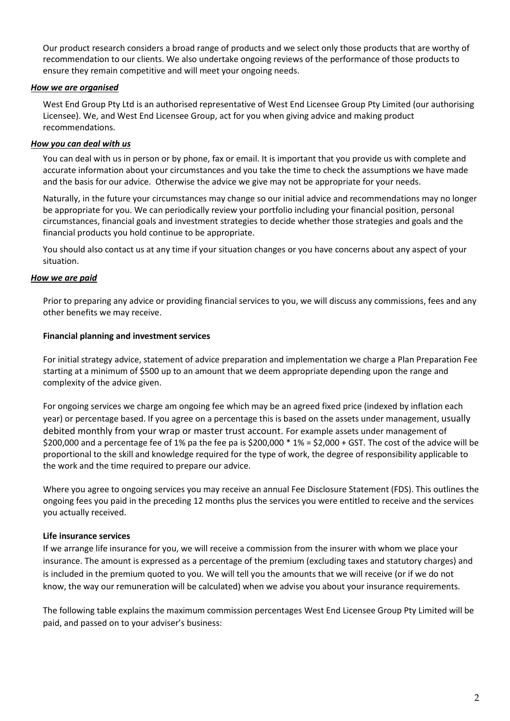Our product research considers a broad range of products and we select only those products that are worthy of recommendation to our clients. We also undertake ongoing reviews of the performance of those products to ensure they remain competitive and will meet your ongoing needs.

## *How we are organised*

West End Group Pty Ltd is an authorised representative of West End Licensee Group Pty Limited (our authorising Licensee). We, and West End Licensee Group, act for you when giving advice and making product recommendations.

## *How you can deal with us*

You can deal with us in person or by phone, fax or email. It is important that you provide us with complete and accurate information about your circumstances and you take the time to check the assumptions we have made and the basis for our advice. Otherwise the advice we give may not be appropriate for your needs.

Naturally, in the future your circumstances may change so our initial advice and recommendations may no longer be appropriate for you. We can periodically review your portfolio including your financial position, personal circumstances, financial goals and investment strategies to decide whether those strategies and goals and the financial products you hold continue to be appropriate.

You should also contact us at any time if your situation changes or you have concerns about any aspect of your situation.

### *How we are paid*

Prior to preparing any advice or providing financial services to you, we will discuss any commissions, fees and any other benefits we may receive.

### **Financial planning and investment services**

For initial strategy advice, statement of advice preparation and implementation we charge a Plan Preparation Fee starting at a minimum of \$500 up to an amount that we deem appropriate depending upon the range and complexity of the advice given.

For ongoing services we charge am ongoing fee which may be an agreed fixed price (indexed by inflation each year) or percentage based. If you agree on a percentage this is based on the assets under management, usually debited monthly from your wrap or master trust account. For example assets under management of \$200,000 and a percentage fee of 1% pa the fee pa is \$200,000 \* 1% = \$2,000 + GST. The cost of the advice will be proportional to the skill and knowledge required for the type of work, the degree of responsibility applicable to the work and the time required to prepare our advice.

Where you agree to ongoing services you may receive an annual Fee Disclosure Statement (FDS). This outlines the ongoing fees you paid in the preceding 12 months plus the services you were entitled to receive and the services you actually received.

# **Life insurance services**

If we arrange life insurance for you, we will receive a commission from the insurer with whom we place your insurance. The amount is expressed as a percentage of the premium (excluding taxes and statutory charges) and is included in the premium quoted to you. We will tell you the amounts that we will receive (or if we do not know, the way our remuneration will be calculated) when we advise you about your insurance requirements.

The following table explains the maximum commission percentages West End Licensee Group Pty Limited will be paid, and passed on to your adviser's business: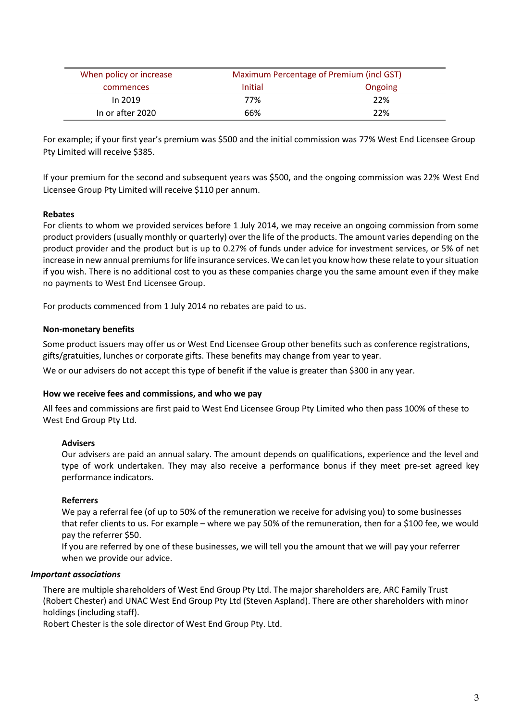| When policy or increase<br>Maximum Percentage of Premium (incl GST) |         |         |
|---------------------------------------------------------------------|---------|---------|
| commences                                                           | Initial | Ongoing |
| In 2019                                                             | 77%     | 22%     |
| In or after 2020                                                    | 66%     | 22%     |

For example; if your first year's premium was \$500 and the initial commission was 77% West End Licensee Group Pty Limited will receive \$385.

If your premium for the second and subsequent years was \$500, and the ongoing commission was 22% West End Licensee Group Pty Limited will receive \$110 per annum.

### **Rebates**

For clients to whom we provided services before 1 July 2014, we may receive an ongoing commission from some product providers (usually monthly or quarterly) over the life of the products. The amount varies depending on the product provider and the product but is up to 0.27% of funds under advice for investment services, or 5% of net increase in new annual premiums for life insurance services. We can let you know how these relate to your situation if you wish. There is no additional cost to you as these companies charge you the same amount even if they make no payments to West End Licensee Group.

For products commenced from 1 July 2014 no rebates are paid to us.

### **Non-monetary benefits**

Some product issuers may offer us or West End Licensee Group other benefits such as conference registrations, gifts/gratuities, lunches or corporate gifts. These benefits may change from year to year.

We or our advisers do not accept this type of benefit if the value is greater than \$300 in any year.

### **How we receive fees and commissions, and who we pay**

All fees and commissions are first paid to West End Licensee Group Pty Limited who then pass 100% of these to West End Group Pty Ltd.

#### **Advisers**

Our advisers are paid an annual salary. The amount depends on qualifications, experience and the level and type of work undertaken. They may also receive a performance bonus if they meet pre-set agreed key performance indicators.

#### **Referrers**

We pay a referral fee (of up to 50% of the remuneration we receive for advising you) to some businesses that refer clients to us. For example – where we pay 50% of the remuneration, then for a \$100 fee, we would pay the referrer \$50.

If you are referred by one of these businesses, we will tell you the amount that we will pay your referrer when we provide our advice.

#### *Important associations*

There are multiple shareholders of West End Group Pty Ltd. The major shareholders are, ARC Family Trust (Robert Chester) and UNAC West End Group Pty Ltd (Steven Aspland). There are other shareholders with minor holdings (including staff).

Robert Chester is the sole director of West End Group Pty. Ltd.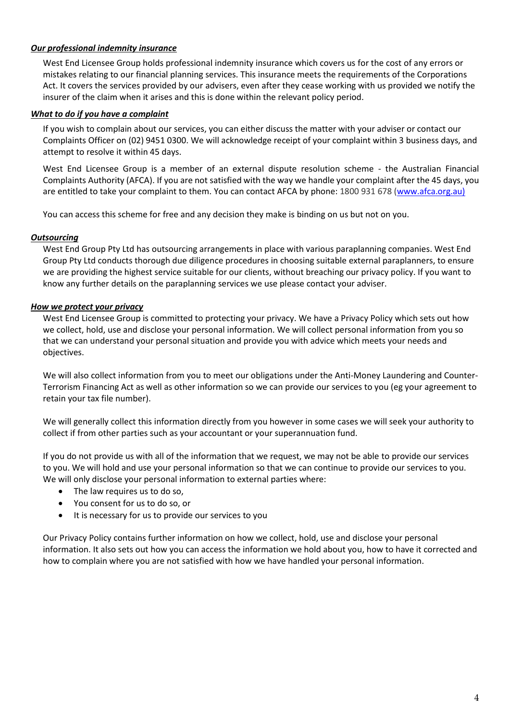# *Our professional indemnity insurance*

West End Licensee Group holds professional indemnity insurance which covers us for the cost of any errors or mistakes relating to our financial planning services. This insurance meets the requirements of the Corporations Act. It covers the services provided by our advisers, even after they cease working with us provided we notify the insurer of the claim when it arises and this is done within the relevant policy period.

## *What to do if you have a complaint*

If you wish to complain about our services, you can either discuss the matter with your adviser or contact our Complaints Officer on (02) 9451 0300. We will acknowledge receipt of your complaint within 3 business days, and attempt to resolve it within 45 days.

West End Licensee Group is a member of an external dispute resolution scheme - the Australian Financial Complaints Authority (AFCA). If you are not satisfied with the way we handle your complaint after the 45 days, you are entitled to take your complaint to them. You can contact AFCA by phone: 1800 931 678 [\(www.afca.org.au\)](http://www.afca.org.au/)

You can access this scheme for free and any decision they make is binding on us but not on you.

# *Outsourcing*

West End Group Pty Ltd has outsourcing arrangements in place with various paraplanning companies. West End Group Pty Ltd conducts thorough due diligence procedures in choosing suitable external paraplanners, to ensure we are providing the highest service suitable for our clients, without breaching our privacy policy. If you want to know any further details on the paraplanning services we use please contact your adviser.

### *How we protect your privacy*

West End Licensee Group is committed to protecting your privacy. We have a Privacy Policy which sets out how we collect, hold, use and disclose your personal information. We will collect personal information from you so that we can understand your personal situation and provide you with advice which meets your needs and objectives.

We will also collect information from you to meet our obligations under the Anti-Money Laundering and Counter-Terrorism Financing Act as well as other information so we can provide our services to you (eg your agreement to retain your tax file number).

We will generally collect this information directly from you however in some cases we will seek your authority to collect if from other parties such as your accountant or your superannuation fund.

If you do not provide us with all of the information that we request, we may not be able to provide our services to you. We will hold and use your personal information so that we can continue to provide our services to you. We will only disclose your personal information to external parties where:

- The law requires us to do so,
- You consent for us to do so, or
- It is necessary for us to provide our services to you

Our Privacy Policy contains further information on how we collect, hold, use and disclose your personal information. It also sets out how you can access the information we hold about you, how to have it corrected and how to complain where you are not satisfied with how we have handled your personal information.